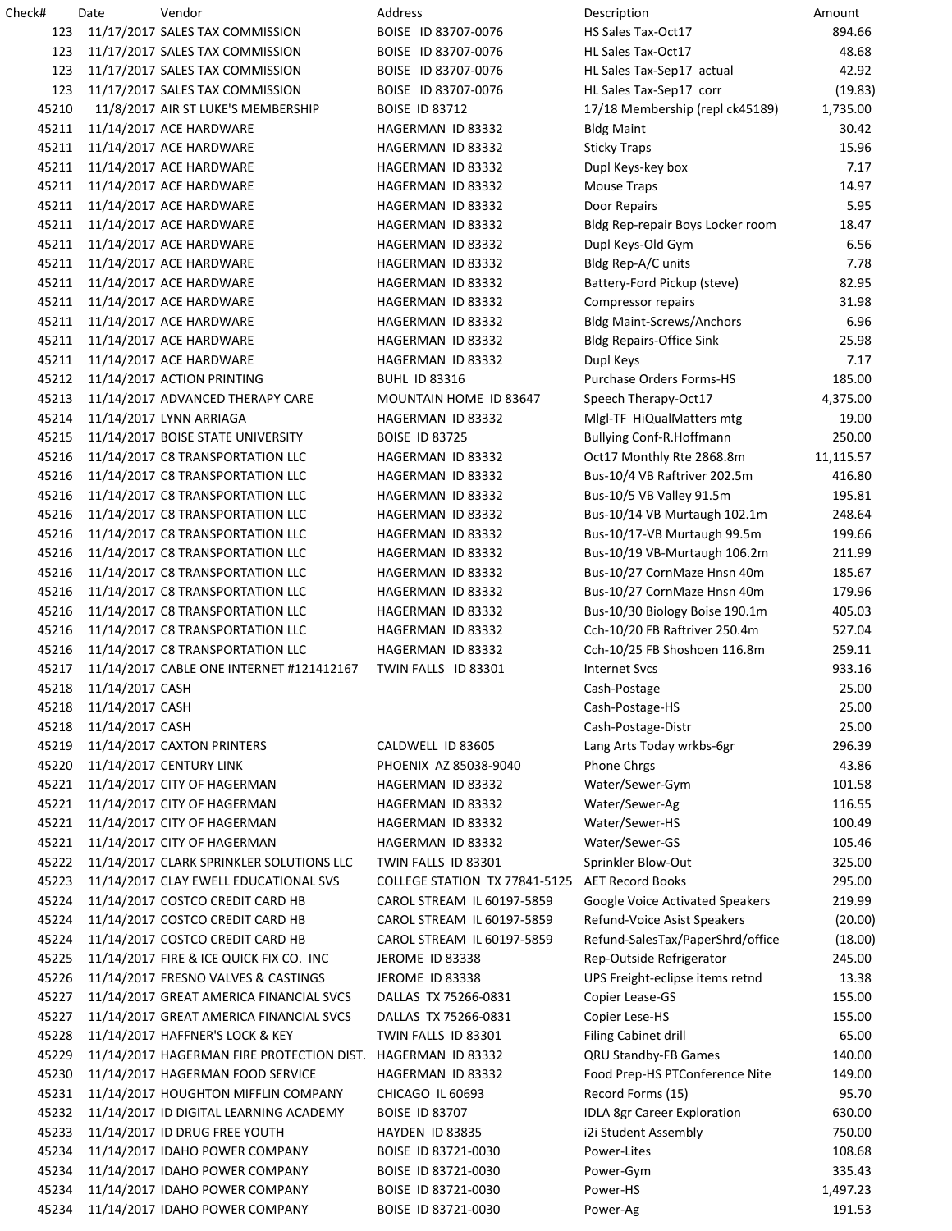| Check# | Date                  | Vendor                                                      | Address                       | Description                            | Amount    |
|--------|-----------------------|-------------------------------------------------------------|-------------------------------|----------------------------------------|-----------|
| 123    |                       | 11/17/2017 SALES TAX COMMISSION                             | BOISE ID 83707-0076           | HS Sales Tax-Oct17                     | 894.66    |
| 123    |                       | 11/17/2017 SALES TAX COMMISSION                             | BOISE ID 83707-0076           | HL Sales Tax-Oct17                     | 48.68     |
| 123    |                       | 11/17/2017 SALES TAX COMMISSION                             | BOISE ID 83707-0076           | HL Sales Tax-Sep17 actual              | 42.92     |
| 123    |                       | 11/17/2017 SALES TAX COMMISSION                             | BOISE ID 83707-0076           | HL Sales Tax-Sep17 corr                | (19.83)   |
| 45210  |                       | 11/8/2017 AIR ST LUKE'S MEMBERSHIP                          | <b>BOISE ID 83712</b>         | 17/18 Membership (repl ck45189)        | 1,735.00  |
| 45211  |                       | 11/14/2017 ACE HARDWARE                                     | HAGERMAN ID 83332             | <b>Bldg Maint</b>                      | 30.42     |
| 45211  |                       | 11/14/2017 ACE HARDWARE                                     | HAGERMAN ID 83332             | <b>Sticky Traps</b>                    | 15.96     |
| 45211  |                       | 11/14/2017 ACE HARDWARE                                     | HAGERMAN ID 83332             | Dupl Keys-key box                      | 7.17      |
| 45211  |                       | 11/14/2017 ACE HARDWARE                                     | HAGERMAN ID 83332             | Mouse Traps                            | 14.97     |
| 45211  |                       | 11/14/2017 ACE HARDWARE                                     | HAGERMAN ID 83332             | Door Repairs                           | 5.95      |
| 45211  |                       | 11/14/2017 ACE HARDWARE                                     | HAGERMAN ID 83332             | Bldg Rep-repair Boys Locker room       | 18.47     |
| 45211  |                       |                                                             |                               |                                        |           |
|        |                       | 11/14/2017 ACE HARDWARE                                     | HAGERMAN ID 83332             | Dupl Keys-Old Gym                      | 6.56      |
| 45211  |                       | 11/14/2017 ACE HARDWARE                                     | HAGERMAN ID 83332             | Bldg Rep-A/C units                     | 7.78      |
| 45211  |                       | 11/14/2017 ACE HARDWARE                                     | HAGERMAN ID 83332             | Battery-Ford Pickup (steve)            | 82.95     |
| 45211  |                       | 11/14/2017 ACE HARDWARE                                     | HAGERMAN ID 83332             | Compressor repairs                     | 31.98     |
| 45211  |                       | 11/14/2017 ACE HARDWARE                                     | HAGERMAN ID 83332             | <b>Bldg Maint-Screws/Anchors</b>       | 6.96      |
| 45211  |                       | 11/14/2017 ACE HARDWARE                                     | HAGERMAN ID 83332             | <b>Bldg Repairs-Office Sink</b>        | 25.98     |
| 45211  |                       | 11/14/2017 ACE HARDWARE                                     | HAGERMAN ID 83332             | Dupl Keys                              | 7.17      |
| 45212  |                       | 11/14/2017 ACTION PRINTING                                  | <b>BUHL ID 83316</b>          | <b>Purchase Orders Forms-HS</b>        | 185.00    |
| 45213  |                       | 11/14/2017 ADVANCED THERAPY CARE                            | MOUNTAIN HOME ID 83647        | Speech Therapy-Oct17                   | 4,375.00  |
| 45214  |                       | 11/14/2017 LYNN ARRIAGA                                     | HAGERMAN ID 83332             | Migl-TF HiQualMatters mtg              | 19.00     |
| 45215  |                       | 11/14/2017 BOISE STATE UNIVERSITY                           | <b>BOISE ID 83725</b>         | Bullying Conf-R.Hoffmann               | 250.00    |
| 45216  |                       | 11/14/2017 C8 TRANSPORTATION LLC                            | HAGERMAN ID 83332             | Oct17 Monthly Rte 2868.8m              | 11,115.57 |
| 45216  |                       | 11/14/2017 C8 TRANSPORTATION LLC                            | HAGERMAN ID 83332             | Bus-10/4 VB Raftriver 202.5m           | 416.80    |
| 45216  |                       | 11/14/2017 C8 TRANSPORTATION LLC                            | HAGERMAN ID 83332             | Bus-10/5 VB Valley 91.5m               | 195.81    |
| 45216  |                       | 11/14/2017 C8 TRANSPORTATION LLC                            | HAGERMAN ID 83332             | Bus-10/14 VB Murtaugh 102.1m           | 248.64    |
| 45216  |                       | 11/14/2017 C8 TRANSPORTATION LLC                            | HAGERMAN ID 83332             | Bus-10/17-VB Murtaugh 99.5m            | 199.66    |
| 45216  |                       | 11/14/2017 C8 TRANSPORTATION LLC                            | HAGERMAN ID 83332             | Bus-10/19 VB-Murtaugh 106.2m           | 211.99    |
| 45216  |                       | 11/14/2017 C8 TRANSPORTATION LLC                            | HAGERMAN ID 83332             | Bus-10/27 CornMaze Hnsn 40m            | 185.67    |
| 45216  |                       | 11/14/2017 C8 TRANSPORTATION LLC                            | HAGERMAN ID 83332             | Bus-10/27 CornMaze Hnsn 40m            | 179.96    |
| 45216  |                       |                                                             |                               |                                        |           |
|        |                       | 11/14/2017 C8 TRANSPORTATION LLC                            | HAGERMAN ID 83332             | Bus-10/30 Biology Boise 190.1m         | 405.03    |
| 45216  |                       | 11/14/2017 C8 TRANSPORTATION LLC                            | HAGERMAN ID 83332             | Cch-10/20 FB Raftriver 250.4m          | 527.04    |
| 45216  |                       | 11/14/2017 C8 TRANSPORTATION LLC                            | HAGERMAN ID 83332             | Cch-10/25 FB Shoshoen 116.8m           | 259.11    |
| 45217  |                       | 11/14/2017 CABLE ONE INTERNET #121412167                    | TWIN FALLS ID 83301           | <b>Internet Svcs</b>                   | 933.16    |
| 45218  | 11/14/2017 CASH       |                                                             |                               | Cash-Postage                           | 25.00     |
|        | 45218 11/14/2017 CASH |                                                             |                               | Cash-Postage-HS                        | 25.00     |
| 45218  | 11/14/2017 CASH       |                                                             |                               | Cash-Postage-Distr                     | 25.00     |
| 45219  |                       | 11/14/2017 CAXTON PRINTERS                                  | CALDWELL ID 83605             | Lang Arts Today wrkbs-6gr              | 296.39    |
| 45220  |                       | 11/14/2017 CENTURY LINK                                     | PHOENIX AZ 85038-9040         | Phone Chrgs                            | 43.86     |
| 45221  |                       | 11/14/2017 CITY OF HAGERMAN                                 | HAGERMAN ID 83332             | Water/Sewer-Gym                        | 101.58    |
| 45221  |                       | 11/14/2017 CITY OF HAGERMAN                                 | HAGERMAN ID 83332             | Water/Sewer-Ag                         | 116.55    |
| 45221  |                       | 11/14/2017 CITY OF HAGERMAN                                 | HAGERMAN ID 83332             | Water/Sewer-HS                         | 100.49    |
| 45221  |                       | 11/14/2017 CITY OF HAGERMAN                                 | HAGERMAN ID 83332             | Water/Sewer-GS                         | 105.46    |
| 45222  |                       | 11/14/2017 CLARK SPRINKLER SOLUTIONS LLC                    | TWIN FALLS ID 83301           | Sprinkler Blow-Out                     | 325.00    |
| 45223  |                       | 11/14/2017 CLAY EWELL EDUCATIONAL SVS                       | COLLEGE STATION TX 77841-5125 | <b>AET Record Books</b>                | 295.00    |
| 45224  |                       | 11/14/2017 COSTCO CREDIT CARD HB                            | CAROL STREAM IL 60197-5859    | <b>Google Voice Activated Speakers</b> | 219.99    |
| 45224  |                       | 11/14/2017 COSTCO CREDIT CARD HB                            | CAROL STREAM IL 60197-5859    | Refund-Voice Asist Speakers            | (20.00)   |
| 45224  |                       | 11/14/2017 COSTCO CREDIT CARD HB                            | CAROL STREAM IL 60197-5859    | Refund-SalesTax/PaperShrd/office       | (18.00)   |
| 45225  |                       | 11/14/2017 FIRE & ICE QUICK FIX CO. INC                     | JEROME ID 83338               | Rep-Outside Refrigerator               | 245.00    |
| 45226  |                       | 11/14/2017 FRESNO VALVES & CASTINGS                         | JEROME ID 83338               |                                        | 13.38     |
|        |                       |                                                             |                               | UPS Freight-eclipse items retnd        |           |
| 45227  |                       | 11/14/2017 GREAT AMERICA FINANCIAL SVCS                     | DALLAS TX 75266-0831          | Copier Lease-GS                        | 155.00    |
| 45227  |                       | 11/14/2017 GREAT AMERICA FINANCIAL SVCS                     | DALLAS TX 75266-0831          | Copier Lese-HS                         | 155.00    |
| 45228  |                       | 11/14/2017 HAFFNER'S LOCK & KEY                             | TWIN FALLS ID 83301           | Filing Cabinet drill                   | 65.00     |
| 45229  |                       | 11/14/2017 HAGERMAN FIRE PROTECTION DIST. HAGERMAN ID 83332 |                               | QRU Standby-FB Games                   | 140.00    |
| 45230  |                       | 11/14/2017 HAGERMAN FOOD SERVICE                            | HAGERMAN ID 83332             | Food Prep-HS PTConference Nite         | 149.00    |
| 45231  |                       | 11/14/2017 HOUGHTON MIFFLIN COMPANY                         | CHICAGO IL 60693              | Record Forms (15)                      | 95.70     |
| 45232  |                       | 11/14/2017 ID DIGITAL LEARNING ACADEMY                      | <b>BOISE ID 83707</b>         | IDLA 8gr Career Exploration            | 630.00    |
| 45233  |                       | 11/14/2017 ID DRUG FREE YOUTH                               | HAYDEN ID 83835               | i2i Student Assembly                   | 750.00    |
| 45234  |                       | 11/14/2017 IDAHO POWER COMPANY                              | BOISE ID 83721-0030           | Power-Lites                            | 108.68    |
| 45234  |                       | 11/14/2017 IDAHO POWER COMPANY                              | BOISE ID 83721-0030           | Power-Gym                              | 335.43    |
| 45234  |                       | 11/14/2017 IDAHO POWER COMPANY                              | BOISE ID 83721-0030           | Power-HS                               | 1,497.23  |
| 45234  |                       | 11/14/2017 IDAHO POWER COMPANY                              | BOISE ID 83721-0030           | Power-Ag                               | 191.53    |
|        |                       |                                                             |                               |                                        |           |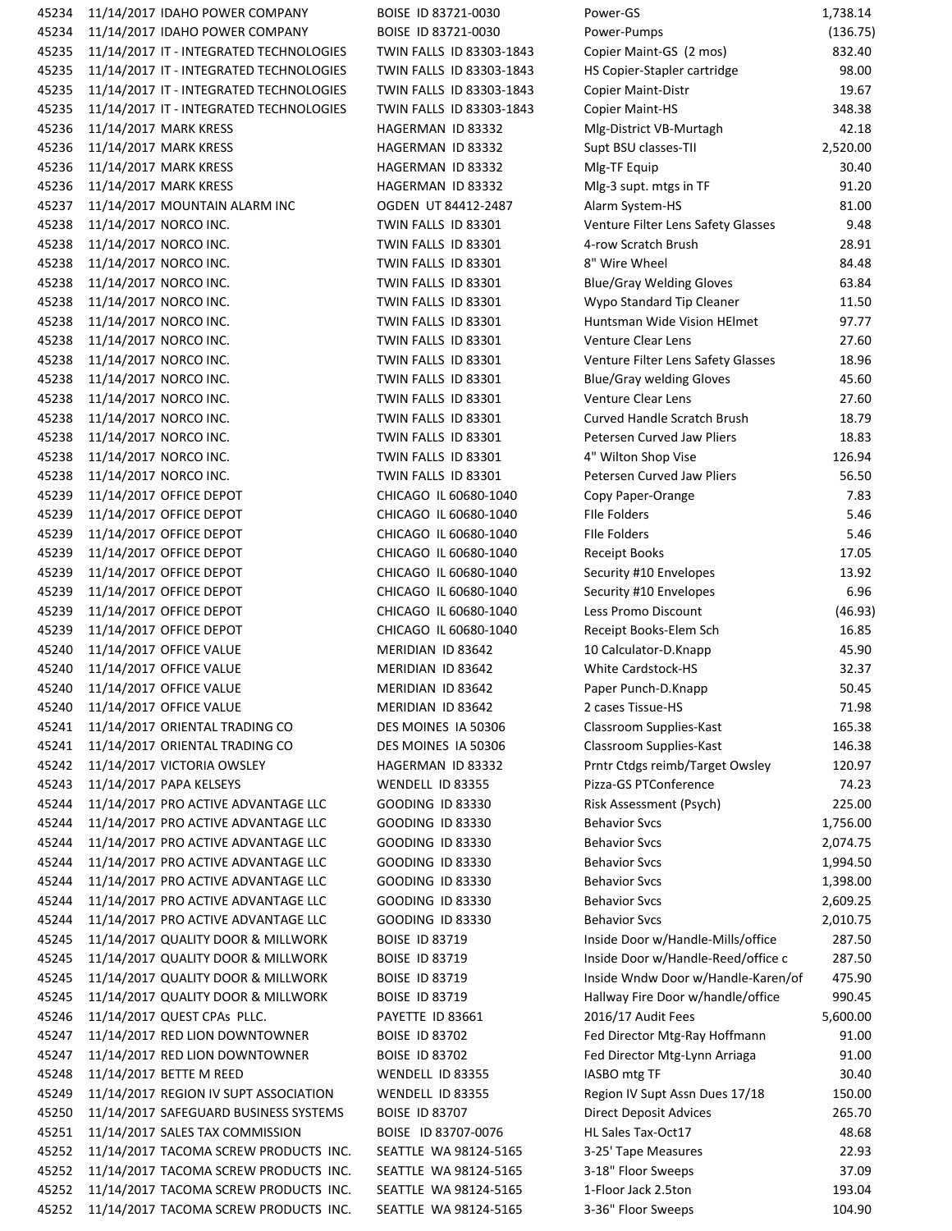| 45234 | 11/14/2017 IDAHO POWER COMPANY          | BOISE ID 83721-0030      | Power-GS                           | 1,738.14 |
|-------|-----------------------------------------|--------------------------|------------------------------------|----------|
| 45234 | 11/14/2017 IDAHO POWER COMPANY          | BOISE ID 83721-0030      | Power-Pumps                        | (136.75  |
| 45235 | 11/14/2017 IT - INTEGRATED TECHNOLOGIES | TWIN FALLS ID 83303-1843 | Copier Maint-GS (2 mos)            | 832.40   |
| 45235 | 11/14/2017 IT - INTEGRATED TECHNOLOGIES | TWIN FALLS ID 83303-1843 | HS Copier-Stapler cartridge        | 98.00    |
| 45235 | 11/14/2017 IT - INTEGRATED TECHNOLOGIES | TWIN FALLS ID 83303-1843 | <b>Copier Maint-Distr</b>          | 19.67    |
| 45235 | 11/14/2017 IT - INTEGRATED TECHNOLOGIES | TWIN FALLS ID 83303-1843 | <b>Copier Maint-HS</b>             | 348.38   |
| 45236 | 11/14/2017 MARK KRESS                   | HAGERMAN ID 83332        | Mlg-District VB-Murtagh            | 42.18    |
| 45236 | 11/14/2017 MARK KRESS                   | HAGERMAN ID 83332        | Supt BSU classes-TII               | 2,520.00 |
| 45236 | 11/14/2017 MARK KRESS                   | HAGERMAN ID 83332        | Mlg-TF Equip                       | 30.40    |
| 45236 | 11/14/2017 MARK KRESS                   | HAGERMAN ID 83332        | Mlg-3 supt. mtgs in TF             | 91.20    |
| 45237 | 11/14/2017 MOUNTAIN ALARM INC           | OGDEN UT 84412-2487      | Alarm System-HS                    | 81.00    |
| 45238 | 11/14/2017 NORCO INC.                   | TWIN FALLS ID 83301      | Venture Filter Lens Safety Glasses | 9.48     |
| 45238 | 11/14/2017 NORCO INC.                   | TWIN FALLS ID 83301      | 4-row Scratch Brush                | 28.91    |
| 45238 | 11/14/2017 NORCO INC.                   | TWIN FALLS ID 83301      | 8" Wire Wheel                      | 84.48    |
| 45238 | 11/14/2017 NORCO INC.                   | TWIN FALLS ID 83301      | <b>Blue/Gray Welding Gloves</b>    | 63.84    |
| 45238 | 11/14/2017 NORCO INC.                   | TWIN FALLS ID 83301      |                                    |          |
|       |                                         |                          | Wypo Standard Tip Cleaner          | 11.50    |
| 45238 | 11/14/2017 NORCO INC.                   | TWIN FALLS ID 83301      | Huntsman Wide Vision HElmet        | 97.77    |
| 45238 | 11/14/2017 NORCO INC.                   | TWIN FALLS ID 83301      | Venture Clear Lens                 | 27.60    |
| 45238 | 11/14/2017 NORCO INC.                   | TWIN FALLS ID 83301      | Venture Filter Lens Safety Glasses | 18.96    |
| 45238 | 11/14/2017 NORCO INC.                   | TWIN FALLS ID 83301      | <b>Blue/Gray welding Gloves</b>    | 45.60    |
| 45238 | 11/14/2017 NORCO INC.                   | TWIN FALLS ID 83301      | <b>Venture Clear Lens</b>          | 27.60    |
| 45238 | 11/14/2017 NORCO INC.                   | TWIN FALLS ID 83301      | Curved Handle Scratch Brush        | 18.79    |
| 45238 | 11/14/2017 NORCO INC.                   | TWIN FALLS ID 83301      | Petersen Curved Jaw Pliers         | 18.83    |
| 45238 | 11/14/2017 NORCO INC.                   | TWIN FALLS ID 83301      | 4" Wilton Shop Vise                | 126.94   |
| 45238 | 11/14/2017 NORCO INC.                   | TWIN FALLS ID 83301      | Petersen Curved Jaw Pliers         | 56.50    |
| 45239 | 11/14/2017 OFFICE DEPOT                 | CHICAGO IL 60680-1040    | Copy Paper-Orange                  | 7.83     |
| 45239 | 11/14/2017 OFFICE DEPOT                 | CHICAGO IL 60680-1040    | <b>File Folders</b>                | 5.46     |
| 45239 | 11/14/2017 OFFICE DEPOT                 | CHICAGO IL 60680-1040    | <b>File Folders</b>                | 5.46     |
| 45239 | 11/14/2017 OFFICE DEPOT                 | CHICAGO IL 60680-1040    | Receipt Books                      | 17.05    |
| 45239 | 11/14/2017 OFFICE DEPOT                 | CHICAGO IL 60680-1040    | Security #10 Envelopes             | 13.92    |
| 45239 | 11/14/2017 OFFICE DEPOT                 | CHICAGO IL 60680-1040    | Security #10 Envelopes             | 6.96     |
| 45239 | 11/14/2017 OFFICE DEPOT                 | CHICAGO IL 60680-1040    | Less Promo Discount                | (46.93)  |
| 45239 | 11/14/2017 OFFICE DEPOT                 | CHICAGO IL 60680-1040    | Receipt Books-Elem Sch             | 16.85    |
| 45240 | 11/14/2017 OFFICE VALUE                 | MERIDIAN ID 83642        | 10 Calculator-D.Knapp              | 45.90    |
| 45240 | 11/14/2017 OFFICE VALUE                 | MERIDIAN ID 83642        | White Cardstock-HS                 | 32.37    |
| 45240 | 11/14/2017 OFFICE VALUE                 | MERIDIAN ID 83642        | Paper Punch-D.Knapp                | 50.45    |
|       | 45240 11/14/2017 OFFICE VALUE           | MERIDIAN ID 83642        | 2 cases Tissue-HS                  | 71.98    |
| 45241 | 11/14/2017 ORIENTAL TRADING CO          | DES MOINES IA 50306      | Classroom Supplies-Kast            | 165.38   |
| 45241 | 11/14/2017 ORIENTAL TRADING CO          | DES MOINES IA 50306      | Classroom Supplies-Kast            | 146.38   |
| 45242 | 11/14/2017 VICTORIA OWSLEY              | HAGERMAN ID 83332        | Prntr Ctdgs reimb/Target Owsley    | 120.97   |
| 45243 | 11/14/2017 PAPA KELSEYS                 | WENDELL ID 83355         | Pizza-GS PTConference              | 74.23    |
| 45244 | 11/14/2017 PRO ACTIVE ADVANTAGE LLC     | <b>GOODING ID 83330</b>  | Risk Assessment (Psych)            | 225.00   |
| 45244 | 11/14/2017 PRO ACTIVE ADVANTAGE LLC     | <b>GOODING ID 83330</b>  | <b>Behavior Svcs</b>               | 1,756.00 |
| 45244 | 11/14/2017 PRO ACTIVE ADVANTAGE LLC     | <b>GOODING ID 83330</b>  | <b>Behavior Svcs</b>               | 2,074.75 |
| 45244 | 11/14/2017 PRO ACTIVE ADVANTAGE LLC     | <b>GOODING ID 83330</b>  | <b>Behavior Svcs</b>               | 1,994.50 |
| 45244 | 11/14/2017 PRO ACTIVE ADVANTAGE LLC     | <b>GOODING ID 83330</b>  | <b>Behavior Svcs</b>               | 1,398.00 |
| 45244 | 11/14/2017 PRO ACTIVE ADVANTAGE LLC     | GOODING ID 83330         | <b>Behavior Svcs</b>               | 2,609.25 |
| 45244 | 11/14/2017 PRO ACTIVE ADVANTAGE LLC     | <b>GOODING ID 83330</b>  | <b>Behavior Svcs</b>               | 2,010.75 |
| 45245 | 11/14/2017 QUALITY DOOR & MILLWORK      | <b>BOISE ID 83719</b>    | Inside Door w/Handle-Mills/office  | 287.50   |
| 45245 |                                         | <b>BOISE ID 83719</b>    |                                    | 287.50   |
|       | 11/14/2017 QUALITY DOOR & MILLWORK      |                          | Inside Door w/Handle-Reed/office c |          |
| 45245 | 11/14/2017 QUALITY DOOR & MILLWORK      | <b>BOISE ID 83719</b>    | Inside Wndw Door w/Handle-Karen/of | 475.90   |
| 45245 | 11/14/2017 QUALITY DOOR & MILLWORK      | <b>BOISE ID 83719</b>    | Hallway Fire Door w/handle/office  | 990.45   |
| 45246 | 11/14/2017 QUEST CPAs PLLC.             | PAYETTE ID 83661         | 2016/17 Audit Fees                 | 5,600.00 |
| 45247 | 11/14/2017 RED LION DOWNTOWNER          | <b>BOISE ID 83702</b>    | Fed Director Mtg-Ray Hoffmann      | 91.00    |
| 45247 | 11/14/2017 RED LION DOWNTOWNER          | <b>BOISE ID 83702</b>    | Fed Director Mtg-Lynn Arriaga      | 91.00    |
| 45248 | 11/14/2017 BETTE M REED                 | WENDELL ID 83355         | IASBO mtg TF                       | 30.40    |
| 45249 | 11/14/2017 REGION IV SUPT ASSOCIATION   | WENDELL ID 83355         | Region IV Supt Assn Dues 17/18     | 150.00   |
| 45250 | 11/14/2017 SAFEGUARD BUSINESS SYSTEMS   | <b>BOISE ID 83707</b>    | <b>Direct Deposit Advices</b>      | 265.70   |
| 45251 | 11/14/2017 SALES TAX COMMISSION         | BOISE ID 83707-0076      | HL Sales Tax-Oct17                 | 48.68    |
| 45252 | 11/14/2017 TACOMA SCREW PRODUCTS INC.   | SEATTLE WA 98124-5165    | 3-25' Tape Measures                | 22.93    |
| 45252 | 11/14/2017 TACOMA SCREW PRODUCTS INC.   | SEATTLE WA 98124-5165    | 3-18" Floor Sweeps                 | 37.09    |
| 45252 | 11/14/2017 TACOMA SCREW PRODUCTS INC.   | SEATTLE WA 98124-5165    | 1-Floor Jack 2.5ton                | 193.04   |
| 45252 | 11/14/2017 TACOMA SCREW PRODUCTS INC.   | SEATTLE WA 98124-5165    | 3-36" Floor Sweeps                 | 104.90   |
|       |                                         |                          |                                    |          |

| ower-GS                            | 1,738.14             |
|------------------------------------|----------------------|
| ower-Pumps                         | (136.75)             |
| Copier Maint-GS (2 mos)            | 832.40               |
| IS Copier-Stapler cartridge        | 98.00                |
| Copier Maint-Distr                 | 19.67                |
| Copier Maint-HS                    | 348.38               |
| Alg-District VB-Murtagh            | 42.18                |
| upt BSU classes-TII                | 2,520.00             |
| Alg-TF Equip                       | 30.40                |
| √llg-3 supt. mtgs in TF            | 91.20                |
| <b>Narm System-HS</b>              | 81.00                |
| /enture Filter Lens Safety Glasses | 9.48                 |
| I-row Scratch Brush                | 28.91                |
| " Wire Wheel                       | 84.48                |
| <b>Blue/Gray Welding Gloves</b>    | 63.84                |
| <b>Nypo Standard Tip Cleaner</b>   | 11.50                |
| Iuntsman Wide Vision HElmet        | 97.77                |
| enture Clear Lens                  | 27.60                |
| /enture Filter Lens Safety Glasses | 18.96                |
| <b>Blue/Gray welding Gloves</b>    | 45.60                |
| /enture Clear Lens                 | 27.60                |
| Curved Handle Scratch Brush        | 18.79                |
| etersen Curved Jaw Pliers          | 18.83                |
| " Wilton Shop Vise                 | 126.94               |
| etersen Curved Jaw Pliers          | 56.50                |
| Copy Paper-Orange                  | 7.83                 |
| ille Folders <sup>:</sup>          | 5.46                 |
| Ile Folders                        | 5.46                 |
| Receipt Books                      | 17.05                |
| ecurity #10 Envelopes              | 13.92                |
| ecurity #10 Envelopes              | 6.96                 |
| ess Promo Discount                 | (46.93)              |
| Receipt Books-Elem Sch             | 16.85                |
| 0 Calculator-D.Knapp               | 45.90                |
| <b>Nhite Cardstock-HS</b>          | 32.37                |
| Paper Punch-D.Knapp                | 50.45                |
| cases Tissue-HS                    | 71.98                |
| Classroom Supplies-Kast            | 165.38               |
| Classroom Supplies-Kast            | 146.38               |
| Prntr Ctdgs reimb/Target Owsley    | 120.97               |
| Pizza-GS PTConference              | 74.23                |
| Risk Assessment (Psych)            | 225.00               |
| Behavior Svcs                      | 1,756.00             |
| Behavior Svcs                      | 2,074.75             |
| Behavior Svcs<br>Behavior Svcs     | 1,994.50             |
|                                    | 1,398.00             |
| Behavior Svcs<br>Behavior Svcs     | 2,609.25<br>2,010.75 |
| nside Door w/Handle-Mills/office   | 287.50               |
| nside Door w/Handle-Reed/office c  | 287.50               |
| nside Wndw Door w/Handle-Karen/of  | 475.90               |
| Hallway Fire Door w/handle/office  | 990.45               |
| 2016/17 Audit Fees                 | 5,600.00             |
| ed Director Mtg-Ray Hoffmann       | 91.00                |
| ed Director Mtg-Lynn Arriaga       | 91.00                |
| ASBO mtg TF                        | 30.40                |
| Region IV Supt Assn Dues 17/18     | 150.00               |
| Direct Deposit Advices             | 265.70               |
| IL Sales Tax-Oct17                 | 48.68                |
| 3-25' Tape Measures                | 22.93                |
| 8-18" Floor Sweeps                 | 37.09                |
| -Floor Jack 2.5ton                 | 193.04               |
| 3-36" Floor Sweeps                 | 104.90               |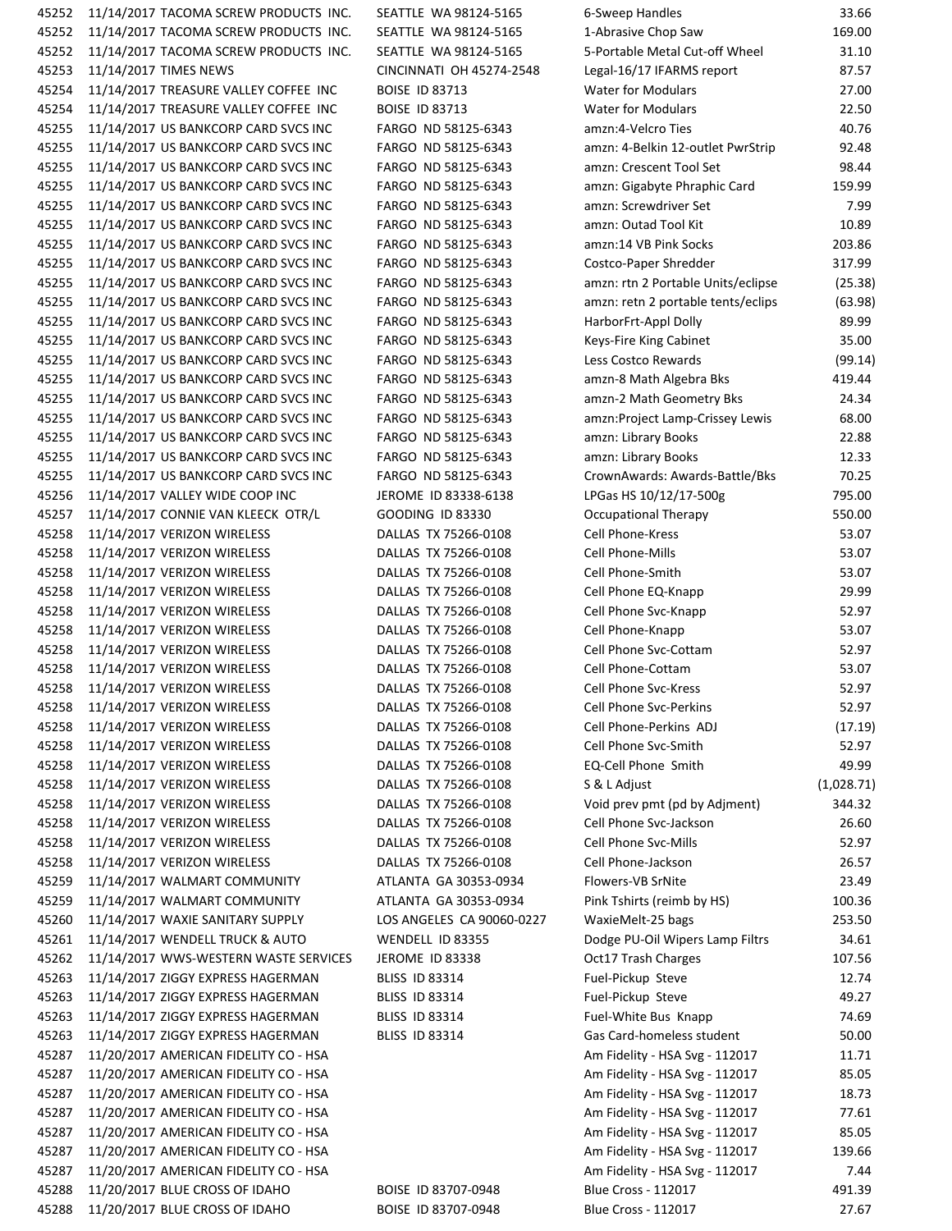45252 11/14/2017 TACOMA SCREW PRODUCTS INC. SEATTLE WA 98124-5165 6 45252 11/14/2017 TACOMA SCREW PRODUCTS INC. SEATTLE WA 98124-5165 1 45252 11/14/2017 TACOMA SCREW PRODUCTS INC. SEATTLE WA 98124-5165 5 45253 11/14/2017 TIMES NEWS CINCINNATI OH 45274-2548 L 45254 11/14/2017 TREASURE VALLEY COFFEE INC BOISE ID 83713 45254 11/14/2017 TREASURE VALLEY COFFEE INC BOISE ID 83713 45255 11/14/2017 US BANKCORP CARD SVCS INC FARGO ND 58125-6343 am 45255 11/14/2017 US BANKCORP CARD SVCS INC FARGO ND 58125-6343 am 45255 11/14/2017 US BANKCORP CARD SVCS INC FARGO ND 58125-6343 among 45255 11/14/2017 US BANKCORP CARD SVCS INC FARGO ND 58125-6343 am 45255 11/14/2017 US BANKCORP CARD SVCS INC FARGO ND 58125-6343 am 45255 11/14/2017 US BANKCORP CARD SVCS INC FARGO ND 58125-6343 am 45255 11/14/2017 US BANKCORP CARD SVCS INC FARGO ND 58125-6343 am 45255 11/14/2017 US BANKCORP CARD SVCS INC FARGO ND 58125-6343 C 45255 11/14/2017 US BANKCORP CARD SVCS INC FARGO ND 58125-6343 amazon: rendering a portable details and 2 45255 11/14/2017 US BANKCORP CARD SVCS INC FARGO ND 58125-6343 among 45255 11/14/2017 US BANKCORP CARD SVCS INC FARGO ND 58125-6343 Harbor 45255 11/14/2017 US BANKCORP CARD SVCS INC FARGO ND 58125-6343 45255 11/14/2017 US BANKCORP CARD SVCS INC FARGO ND 58125-6343 L 45255 11/14/2017 US BANKCORP CARD SVCS INC FARGO ND 58125-6343 amazon 45255 11/14/2017 US BANKCORP CARD SVCS INC FARGO ND 58125-6343 amazo 45255 11/14/2017 US BANKCORP CARD SVCS INC FARGO ND 58125-6343 am 45255 11/14/2017 US BANKCORP CARD SVCS INC FARGO ND 58125-6343 am 45255 11/14/2017 US BANKCORP CARD SVCS INC FARGO ND 58125-6343 am 45255 11/14/2017 US BANKCORP CARD SVCS INC FARGO ND 58125-6343 C 45256 11/14/2017 VALLEY WIDE COOP INC JEROME ID 83338-6138 L 45257 11/14/2017 CONNIE VAN KLEECK OTR/L GOODING ID 83330 C 45258 11/14/2017 VERIZON WIRELESS DALLAS TX 75266-0108 C 45258 11/14/2017 VERIZON WIRELESS DALLAS TX 75266-0108 C 45258 11/14/2017 VERIZON WIRELESS DALLAS TX 75266-0108 C 45258 11/14/2017 VERIZON WIRELESS DALLAS TX 75266-0108 C 45258 11/14/2017 VERIZON WIRELESS DALLAS TX 75266-0108 C 45258 11/14/2017 VERIZON WIRELESS DALLAS TX 75266-0108 C 45258 11/14/2017 VERIZON WIRELESS DALLAS TX 75266-0108 C 45258 11/14/2017 VERIZON WIRELESS DALLAS TX 75266-0108 C 45258 11/14/2017 VERIZON WIRELESS DALLAS TX 75266-0108 C 45258 11/14/2017 VERIZON WIRELESS DALLAS TX 75266-0108 C 45258 11/14/2017 VERIZON WIRELESS DALLAS TX 75266-0108 C 45258 11/14/2017 VERIZON WIRELESS DALLAS TX 75266-0108 C 45258 11/14/2017 VERIZON WIRELESS DALLAS TX 75266-0108 E 45258 11/14/2017 VERIZON WIRELESS DALLAS TX 75266-0108 S 45258 11/14/2017 VERIZON WIRELESS DALLAS TX 75266-0108 45258 11/14/2017 VERIZON WIRELESS DALLAS TX 75266‐0108 Cell Phone Svc‐Jackson 26.60 45258 11/14/2017 VERIZON WIRELESS DALLAS TX 75266-0108 C 45258 11/14/2017 VERIZON WIRELESS DALLAS TX 75266-0108 C 45259 11/14/2017 WALMART COMMUNITY ATLANTA GA 30353-0934 F 45259 11/14/2017 WALMART COMMUNITY ATLANTA GA 30353‐0934 Pink Tshirts (reimb by HS) 100.36 45260 11/14/2017 WAXIE SANITARY SUPPLY LOS ANGELES CA 90060-0227 45261 11/14/2017 WENDELL TRUCK & AUTO WENDELL ID 83355 45262 11/14/2017 WWS-WESTERN WASTE SERVICES JEROME ID 83338 CONTRACTED BOOT CONTROL CHARGES 107.567 45263 11/14/2017 ZIGGY EXPRESS HAGERMAN BLISS ID 83314 FUEL 45263 11/14/2017 ZIGGY EXPRESS HAGERMAN BLISS ID 83314 FUEL 45263 11/14/2017 ZIGGY EXPRESS HAGERMAN BLISS ID 83314 FUEL 45263 11/14/2017 ZIGGY EXPRESS HAGERMAN BLISS ID 83314 GAS 45287 11/20/2017 AMERICAN FIDELITY CO - HSA Am Am Am Am Am A 45287 11/20/2017 AMERICAN FIDELITY CO - HSA Svenski statem and the statement of the statement of the statement 45287 11/20/2017 AMERICAN FIDELITY CO - HSA Svenski statem and the statem of the statem of the statem of the s 45287 11/20/2017 AMERICAN FIDELITY CO - HSA Am Am Am Am Am A 45287 11/20/2017 AMERICAN FIDELITY CO - HSA SVG • 112017 85.067 AMERICAN FIDELITY CO - HSA 45287 11/20/2017 AMERICAN FIDELITY CO - HSA 45287 11/20/2017 AMERICAN FIDELITY CO - HSA 45288 11/20/2017 BLUE CROSS OF IDAHO BOISE ID 83707-0948 BLUE CROSS OF IDAHO 45288 11/20/2017 BLUE CROSS OF IDAHO BOISE ID 83707-0948 BLUE CROSS OF IDAHO

| -Sweep Handles                    | 33.66      |
|-----------------------------------|------------|
| -Abrasive Chop Saw                | 169.00     |
| -Portable Metal Cut-off Wheel     | 31.10      |
| egal-16/17 IFARMS report          | 87.57      |
| Vater for Modulars                | 27.00      |
| Vater for Modulars                | 22.50      |
| mzn:4-Velcro Ties                 | 40.76      |
| mzn: 4-Belkin 12-outlet PwrStrip  | 92.48      |
| mzn: Crescent Tool Set            | 98.44      |
| mzn: Gigabyte Phraphic Card       | 159.99     |
| mzn: Screwdriver Set              | 7.99       |
| mzn: Outad Tool Kit               | 10.89      |
| mzn:14 VB Pink Socks              | 203.86     |
| Costco-Paper Shredder             | 317.99     |
| mzn: rtn 2 Portable Units/eclipse | (25.38)    |
|                                   | (63.98)    |
| mzn: retn 2 portable tents/eclips |            |
| larborFrt-Appl Dolly              | 89.99      |
| eys-Fire King Cabinet             | 35.00      |
| ess Costco Rewards                | (99.14)    |
| mzn-8 Math Algebra Bks            | 419.44     |
| mzn-2 Math Geometry Bks           | 24.34      |
| mzn:Project Lamp-Crissey Lewis    | 68.00      |
| mzn: Library Books                | 22.88      |
| mzn: Library Books                | 12.33      |
| rownAwards: Awards-Battle/Bks     | 70.25      |
| PGas HS 10/12/17-500g             | 795.00     |
| <b>Occupational Therapy</b>       | 550.00     |
| cell Phone-Kress                  | 53.07      |
| ell Phone-Mills:                  | 53.07      |
| cell Phone-Smith                  | 53.07      |
| ell Phone EQ-Knapp                | 29.99      |
| ell Phone Svc-Knapp               | 52.97      |
| ell Phone-Knapp                   | 53.07      |
| ell Phone Svc-Cottam:             | 52.97      |
| cell Phone-Cottam                 | 53.07      |
| ell Phone Svc-Kress               | 52.97      |
|                                   |            |
| ell Phone Svc-Perkins             | 52.97      |
| ell Phone-Perkins ADJ             | (17.19)    |
| ell Phone Svc-Smith               | 52.97      |
| Q-Cell Phone Smith                | 49.99      |
| & L Adjust                        | (1,028.71) |
| oid prev pmt (pd by Adjment)      | 344.32     |
| ell Phone Svc-Jackson             | 26.60      |
| ell Phone Svc-Mills               | 52.97      |
| ell Phone-Jackson                 | 26.57      |
| lowers-VB SrNite                  | 23.49      |
| ink Tshirts (reimb by HS)         | 100.36     |
| VaxieMelt-25 bags                 | 253.50     |
| Odge PU-Oil Wipers Lamp Filtrs    | 34.61      |
| Oct17 Trash Charges               | 107.56     |
| uel-Pickup Steve                  | 12.74      |
| uel-Pickup Steve                  | 49.27      |
| uel-White Bus Knapp               | 74.69      |
| Gas Card-homeless student         | 50.00      |
| m Fidelity - HSA Svg - 112017     | 11.71      |
|                                   |            |
| m Fidelity - HSA Svg - 112017     | 85.05      |
| m Fidelity - HSA Svg - 112017     | 18.73      |
| m Fidelity - HSA Svg - 112017     | 77.61      |
| m Fidelity - HSA Svg - 112017     | 85.05      |
| m Fidelity - HSA Svg - 112017     | 139.66     |
| m Fidelity - HSA Svg - 112017     | 7.44       |
| llue Cross - 112017               | 491.39     |
| Ilue Cross - 112017               | 27.67      |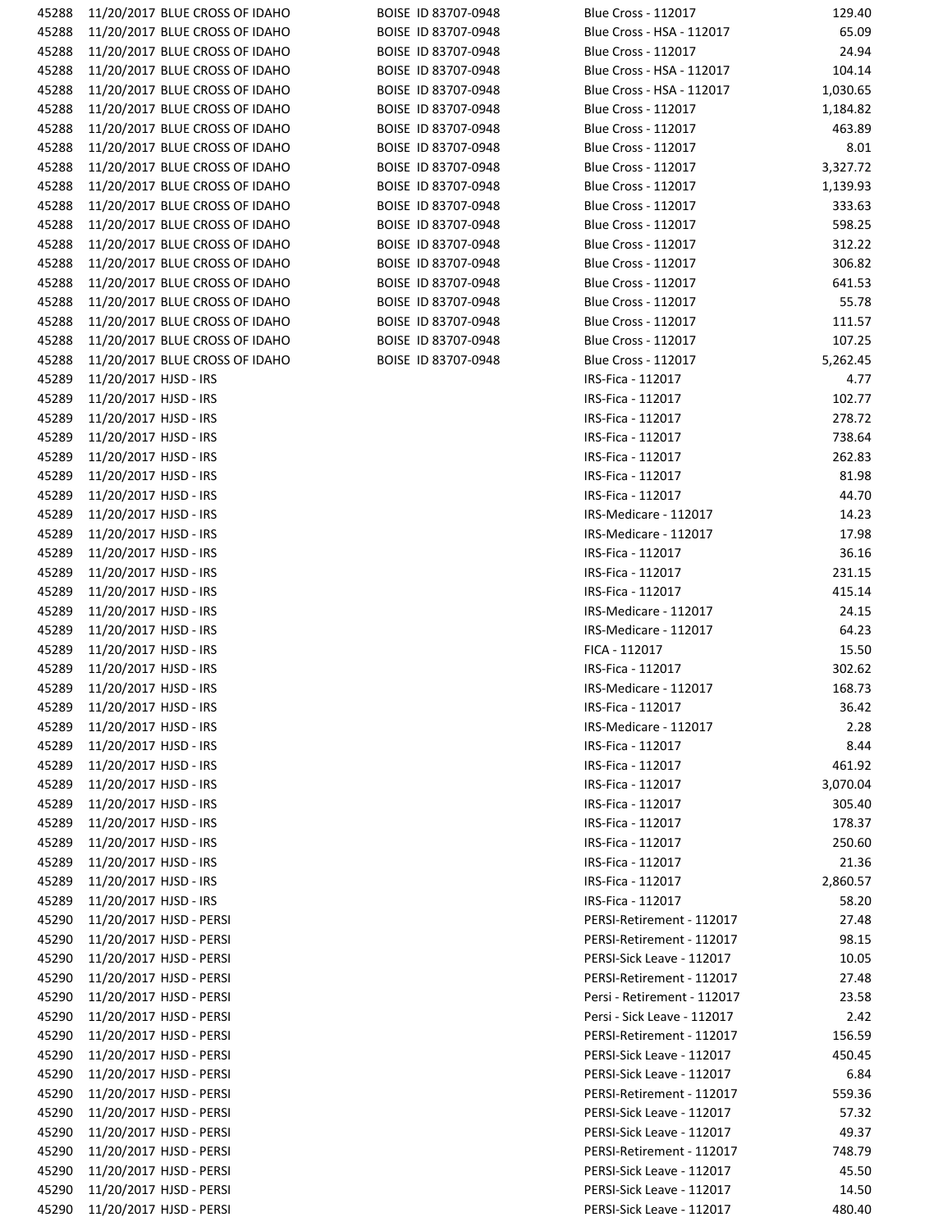| 45288 | 11/20/2017 BLUE CROSS OF IDAHO | BOISE ID 83707-0948 | <b>Blue Cross - 112017</b>  | 129.40   |
|-------|--------------------------------|---------------------|-----------------------------|----------|
| 45288 | 11/20/2017 BLUE CROSS OF IDAHO | BOISE ID 83707-0948 | Blue Cross - HSA - 112017   | 65.09    |
| 45288 | 11/20/2017 BLUE CROSS OF IDAHO | BOISE ID 83707-0948 | <b>Blue Cross - 112017</b>  | 24.94    |
| 45288 | 11/20/2017 BLUE CROSS OF IDAHO | BOISE ID 83707-0948 | Blue Cross - HSA - 112017   | 104.14   |
| 45288 | 11/20/2017 BLUE CROSS OF IDAHO | BOISE ID 83707-0948 | Blue Cross - HSA - 112017   | 1,030.65 |
|       | 11/20/2017 BLUE CROSS OF IDAHO |                     |                             |          |
| 45288 |                                | BOISE ID 83707-0948 | <b>Blue Cross - 112017</b>  | 1,184.82 |
| 45288 | 11/20/2017 BLUE CROSS OF IDAHO | BOISE ID 83707-0948 | <b>Blue Cross - 112017</b>  | 463.89   |
| 45288 | 11/20/2017 BLUE CROSS OF IDAHO | BOISE ID 83707-0948 | Blue Cross - 112017         | 8.01     |
| 45288 | 11/20/2017 BLUE CROSS OF IDAHO | BOISE ID 83707-0948 | <b>Blue Cross - 112017</b>  | 3,327.72 |
| 45288 | 11/20/2017 BLUE CROSS OF IDAHO | BOISE ID 83707-0948 | <b>Blue Cross - 112017</b>  | 1,139.93 |
| 45288 | 11/20/2017 BLUE CROSS OF IDAHO | BOISE ID 83707-0948 | <b>Blue Cross - 112017</b>  | 333.63   |
| 45288 | 11/20/2017 BLUE CROSS OF IDAHO | BOISE ID 83707-0948 | <b>Blue Cross - 112017</b>  | 598.25   |
| 45288 | 11/20/2017 BLUE CROSS OF IDAHO | BOISE ID 83707-0948 | <b>Blue Cross - 112017</b>  | 312.22   |
| 45288 | 11/20/2017 BLUE CROSS OF IDAHO | BOISE ID 83707-0948 | <b>Blue Cross - 112017</b>  | 306.82   |
| 45288 | 11/20/2017 BLUE CROSS OF IDAHO | BOISE ID 83707-0948 | Blue Cross - 112017         | 641.53   |
| 45288 | 11/20/2017 BLUE CROSS OF IDAHO | BOISE ID 83707-0948 | <b>Blue Cross - 112017</b>  | 55.78    |
| 45288 | 11/20/2017 BLUE CROSS OF IDAHO | BOISE ID 83707-0948 | <b>Blue Cross - 112017</b>  | 111.57   |
| 45288 | 11/20/2017 BLUE CROSS OF IDAHO | BOISE ID 83707-0948 | <b>Blue Cross - 112017</b>  | 107.25   |
| 45288 | 11/20/2017 BLUE CROSS OF IDAHO | BOISE ID 83707-0948 | <b>Blue Cross - 112017</b>  | 5,262.45 |
| 45289 | 11/20/2017 HJSD - IRS          |                     | IRS-Fica - 112017           | 4.77     |
| 45289 | 11/20/2017 HJSD - IRS          |                     | IRS-Fica - 112017           | 102.77   |
| 45289 | 11/20/2017 HJSD - IRS          |                     | IRS-Fica - 112017           | 278.72   |
| 45289 | 11/20/2017 HJSD - IRS          |                     | IRS-Fica - 112017           | 738.64   |
| 45289 | 11/20/2017 HJSD - IRS          |                     | IRS-Fica - 112017           | 262.83   |
| 45289 | 11/20/2017 HJSD - IRS          |                     | IRS-Fica - 112017           | 81.98    |
|       |                                |                     |                             |          |
| 45289 | 11/20/2017 HJSD - IRS          |                     | IRS-Fica - 112017           | 44.70    |
| 45289 | 11/20/2017 HJSD - IRS          |                     | IRS-Medicare - 112017       | 14.23    |
| 45289 | 11/20/2017 HJSD - IRS          |                     | IRS-Medicare - 112017       | 17.98    |
| 45289 | 11/20/2017 HJSD - IRS          |                     | IRS-Fica - 112017           | 36.16    |
| 45289 | 11/20/2017 HJSD - IRS          |                     | IRS-Fica - 112017           | 231.15   |
| 45289 | 11/20/2017 HJSD - IRS          |                     | IRS-Fica - 112017           | 415.14   |
| 45289 | 11/20/2017 HJSD - IRS          |                     | IRS-Medicare - 112017       | 24.15    |
| 45289 | 11/20/2017 HJSD - IRS          |                     | IRS-Medicare - 112017       | 64.23    |
| 45289 | 11/20/2017 HJSD - IRS          |                     | FICA - 112017               | 15.50    |
| 45289 | 11/20/2017 HJSD - IRS          |                     | IRS-Fica - 112017           | 302.62   |
| 45289 | 11/20/2017 HJSD - IRS          |                     | IRS-Medicare - 112017       | 168.73   |
| 45289 | 11/20/2017 HJSD - IRS          |                     | IRS-Fica - 112017           | 36.42    |
| 45289 | 11/20/2017 HJSD - IRS          |                     | IRS-Medicare - 112017       | 2.28     |
| 45289 | 11/20/2017 HJSD - IRS          |                     | IRS-Fica - 112017           | 8.44     |
| 45289 | 11/20/2017 HJSD - IRS          |                     | IRS-Fica - 112017           | 461.92   |
| 45289 | 11/20/2017 HJSD - IRS          |                     | IRS-Fica - 112017           | 3,070.04 |
| 45289 | 11/20/2017 HJSD - IRS          |                     | IRS-Fica - 112017           | 305.40   |
| 45289 | 11/20/2017 HJSD - IRS          |                     | IRS-Fica - 112017           | 178.37   |
| 45289 | 11/20/2017 HJSD - IRS          |                     | IRS-Fica - 112017           | 250.60   |
| 45289 | 11/20/2017 HJSD - IRS          |                     | IRS-Fica - 112017           | 21.36    |
| 45289 | 11/20/2017 HJSD - IRS          |                     | IRS-Fica - 112017           | 2,860.57 |
|       |                                |                     |                             |          |
| 45289 | 11/20/2017 HJSD - IRS          |                     | IRS-Fica - 112017           | 58.20    |
| 45290 | 11/20/2017 HJSD - PERSI        |                     | PERSI-Retirement - 112017   | 27.48    |
| 45290 | 11/20/2017 HJSD - PERSI        |                     | PERSI-Retirement - 112017   | 98.15    |
| 45290 | 11/20/2017 HJSD - PERSI        |                     | PERSI-Sick Leave - 112017   | 10.05    |
| 45290 | 11/20/2017 HJSD - PERSI        |                     | PERSI-Retirement - 112017   | 27.48    |
| 45290 | 11/20/2017 HJSD - PERSI        |                     | Persi - Retirement - 112017 | 23.58    |
| 45290 | 11/20/2017 HJSD - PERSI        |                     | Persi - Sick Leave - 112017 | 2.42     |
| 45290 | 11/20/2017 HJSD - PERSI        |                     | PERSI-Retirement - 112017   | 156.59   |
| 45290 | 11/20/2017 HJSD - PERSI        |                     | PERSI-Sick Leave - 112017   | 450.45   |
| 45290 | 11/20/2017 HJSD - PERSI        |                     | PERSI-Sick Leave - 112017   | 6.84     |
| 45290 | 11/20/2017 HJSD - PERSI        |                     | PERSI-Retirement - 112017   | 559.36   |
| 45290 | 11/20/2017 HJSD - PERSI        |                     | PERSI-Sick Leave - 112017   | 57.32    |
| 45290 | 11/20/2017 HJSD - PERSI        |                     | PERSI-Sick Leave - 112017   | 49.37    |
| 45290 | 11/20/2017 HJSD - PERSI        |                     | PERSI-Retirement - 112017   | 748.79   |
| 45290 | 11/20/2017 HJSD - PERSI        |                     | PERSI-Sick Leave - 112017   | 45.50    |
| 45290 | 11/20/2017 HJSD - PERSI        |                     | PERSI-Sick Leave - 112017   | 14.50    |
| 45290 | 11/20/2017 HJSD - PERSI        |                     | PERSI-Sick Leave - 112017   | 480.40   |
|       |                                |                     |                             |          |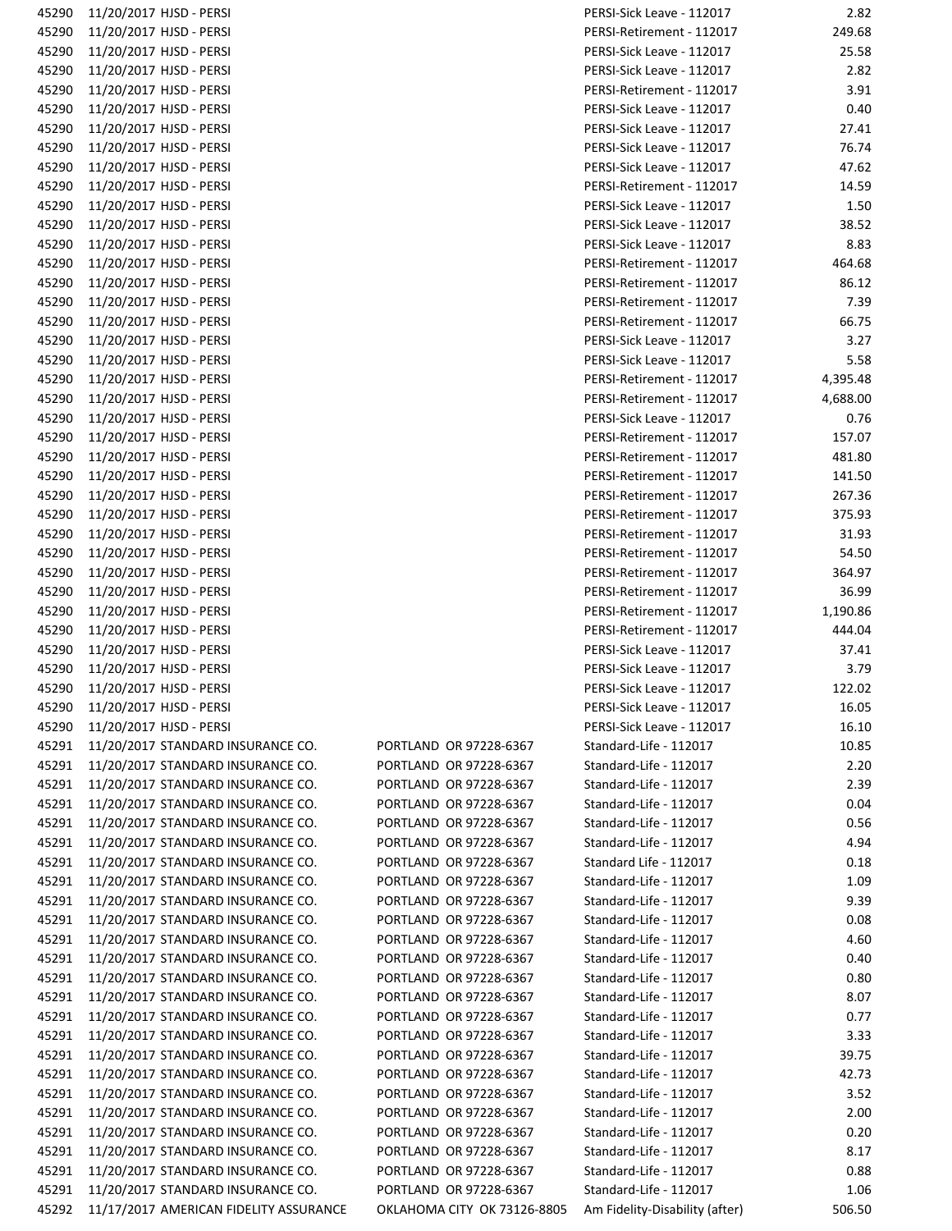| 45290 | 11/20/2017 HJSD - PERSI                |                                                            | PERSI-Sick Leave - 112017 | 2.82     |
|-------|----------------------------------------|------------------------------------------------------------|---------------------------|----------|
| 45290 | 11/20/2017 HJSD - PERSI                |                                                            | PERSI-Retirement - 112017 | 249.68   |
| 45290 | 11/20/2017 HJSD - PERSI                |                                                            | PERSI-Sick Leave - 112017 | 25.58    |
| 45290 | 11/20/2017 HJSD - PERSI                |                                                            | PERSI-Sick Leave - 112017 | 2.82     |
| 45290 | 11/20/2017 HJSD - PERSI                |                                                            | PERSI-Retirement - 112017 | 3.91     |
| 45290 | 11/20/2017 HJSD - PERSI                |                                                            | PERSI-Sick Leave - 112017 | 0.40     |
|       |                                        |                                                            |                           |          |
| 45290 | 11/20/2017 HJSD - PERSI                |                                                            | PERSI-Sick Leave - 112017 | 27.41    |
| 45290 | 11/20/2017 HJSD - PERSI                |                                                            | PERSI-Sick Leave - 112017 | 76.74    |
| 45290 | 11/20/2017 HJSD - PERSI                |                                                            | PERSI-Sick Leave - 112017 | 47.62    |
| 45290 | 11/20/2017 HJSD - PERSI                |                                                            | PERSI-Retirement - 112017 | 14.59    |
| 45290 | 11/20/2017 HJSD - PERSI                |                                                            | PERSI-Sick Leave - 112017 | 1.50     |
| 45290 | 11/20/2017 HJSD - PERSI                |                                                            | PERSI-Sick Leave - 112017 | 38.52    |
| 45290 | 11/20/2017 HJSD - PERSI                |                                                            | PERSI-Sick Leave - 112017 | 8.83     |
| 45290 | 11/20/2017 HJSD - PERSI                |                                                            | PERSI-Retirement - 112017 | 464.68   |
| 45290 | 11/20/2017 HJSD - PERSI                |                                                            | PERSI-Retirement - 112017 | 86.12    |
|       |                                        |                                                            |                           |          |
| 45290 | 11/20/2017 HJSD - PERSI                |                                                            | PERSI-Retirement - 112017 | 7.39     |
| 45290 | 11/20/2017 HJSD - PERSI                |                                                            | PERSI-Retirement - 112017 | 66.75    |
| 45290 | 11/20/2017 HJSD - PERSI                |                                                            | PERSI-Sick Leave - 112017 | 3.27     |
| 45290 | 11/20/2017 HJSD - PERSI                |                                                            | PERSI-Sick Leave - 112017 | 5.58     |
| 45290 | 11/20/2017 HJSD - PERSI                |                                                            | PERSI-Retirement - 112017 | 4,395.48 |
| 45290 | 11/20/2017 HJSD - PERSI                |                                                            | PERSI-Retirement - 112017 | 4,688.00 |
| 45290 | 11/20/2017 HJSD - PERSI                |                                                            | PERSI-Sick Leave - 112017 | 0.76     |
| 45290 | 11/20/2017 HJSD - PERSI                |                                                            | PERSI-Retirement - 112017 | 157.07   |
|       |                                        |                                                            |                           |          |
| 45290 | 11/20/2017 HJSD - PERSI                |                                                            | PERSI-Retirement - 112017 | 481.80   |
| 45290 | 11/20/2017 HJSD - PERSI                |                                                            | PERSI-Retirement - 112017 | 141.50   |
| 45290 | 11/20/2017 HJSD - PERSI                |                                                            | PERSI-Retirement - 112017 | 267.36   |
| 45290 | 11/20/2017 HJSD - PERSI                |                                                            | PERSI-Retirement - 112017 | 375.93   |
| 45290 | 11/20/2017 HJSD - PERSI                |                                                            | PERSI-Retirement - 112017 | 31.93    |
| 45290 | 11/20/2017 HJSD - PERSI                |                                                            | PERSI-Retirement - 112017 | 54.50    |
| 45290 | 11/20/2017 HJSD - PERSI                |                                                            | PERSI-Retirement - 112017 | 364.97   |
| 45290 | 11/20/2017 HJSD - PERSI                |                                                            | PERSI-Retirement - 112017 | 36.99    |
| 45290 | 11/20/2017 HJSD - PERSI                |                                                            | PERSI-Retirement - 112017 | 1,190.86 |
|       |                                        |                                                            |                           |          |
| 45290 | 11/20/2017 HJSD - PERSI                |                                                            | PERSI-Retirement - 112017 | 444.04   |
| 45290 | 11/20/2017 HJSD - PERSI                |                                                            | PERSI-Sick Leave - 112017 | 37.41    |
| 45290 | 11/20/2017 HJSD - PERSI                |                                                            | PERSI-Sick Leave - 112017 | 3.79     |
| 45290 | 11/20/2017 HJSD - PERSI                |                                                            | PERSI-Sick Leave - 112017 | 122.02   |
| 45290 | 11/20/2017 HJSD - PERSI                |                                                            | PERSI-Sick Leave - 112017 | 16.05    |
| 45290 | 11/20/2017 HJSD - PERSI                |                                                            | PERSI-Sick Leave - 112017 | 16.10    |
| 45291 | 11/20/2017 STANDARD INSURANCE CO.      | PORTLAND OR 97228-6367                                     | Standard-Life - 112017    | 10.85    |
| 45291 | 11/20/2017 STANDARD INSURANCE CO.      | PORTLAND OR 97228-6367                                     | Standard-Life - 112017    | 2.20     |
| 45291 | 11/20/2017 STANDARD INSURANCE CO.      | PORTLAND OR 97228-6367                                     | Standard-Life - 112017    | 2.39     |
| 45291 | 11/20/2017 STANDARD INSURANCE CO.      | PORTLAND OR 97228-6367                                     | Standard-Life - 112017    | 0.04     |
|       |                                        |                                                            |                           |          |
| 45291 | 11/20/2017 STANDARD INSURANCE CO.      | PORTLAND OR 97228-6367                                     | Standard-Life - 112017    | 0.56     |
| 45291 | 11/20/2017 STANDARD INSURANCE CO.      | PORTLAND OR 97228-6367                                     | Standard-Life - 112017    | 4.94     |
| 45291 | 11/20/2017 STANDARD INSURANCE CO.      | PORTLAND OR 97228-6367                                     | Standard Life - 112017    | 0.18     |
| 45291 | 11/20/2017 STANDARD INSURANCE CO.      | PORTLAND OR 97228-6367                                     | Standard-Life - 112017    | 1.09     |
| 45291 | 11/20/2017 STANDARD INSURANCE CO.      | PORTLAND OR 97228-6367                                     | Standard-Life - 112017    | 9.39     |
| 45291 | 11/20/2017 STANDARD INSURANCE CO.      | PORTLAND OR 97228-6367                                     | Standard-Life - 112017    | 0.08     |
| 45291 | 11/20/2017 STANDARD INSURANCE CO.      | PORTLAND OR 97228-6367                                     | Standard-Life - 112017    | 4.60     |
| 45291 | 11/20/2017 STANDARD INSURANCE CO.      | PORTLAND OR 97228-6367                                     | Standard-Life - 112017    | 0.40     |
| 45291 | 11/20/2017 STANDARD INSURANCE CO.      | PORTLAND OR 97228-6367                                     | Standard-Life - 112017    | 0.80     |
|       |                                        |                                                            |                           |          |
| 45291 | 11/20/2017 STANDARD INSURANCE CO.      | PORTLAND OR 97228-6367                                     | Standard-Life - 112017    | 8.07     |
| 45291 | 11/20/2017 STANDARD INSURANCE CO.      | PORTLAND OR 97228-6367                                     | Standard-Life - 112017    | 0.77     |
| 45291 | 11/20/2017 STANDARD INSURANCE CO.      | PORTLAND OR 97228-6367                                     | Standard-Life - 112017    | 3.33     |
| 45291 | 11/20/2017 STANDARD INSURANCE CO.      | PORTLAND OR 97228-6367                                     | Standard-Life - 112017    | 39.75    |
| 45291 | 11/20/2017 STANDARD INSURANCE CO.      | PORTLAND OR 97228-6367                                     | Standard-Life - 112017    | 42.73    |
| 45291 | 11/20/2017 STANDARD INSURANCE CO.      | PORTLAND OR 97228-6367                                     | Standard-Life - 112017    | 3.52     |
| 45291 | 11/20/2017 STANDARD INSURANCE CO.      | PORTLAND OR 97228-6367                                     | Standard-Life - 112017    | 2.00     |
| 45291 | 11/20/2017 STANDARD INSURANCE CO.      | PORTLAND OR 97228-6367                                     | Standard-Life - 112017    | 0.20     |
| 45291 | 11/20/2017 STANDARD INSURANCE CO.      | PORTLAND OR 97228-6367                                     | Standard-Life - 112017    | 8.17     |
| 45291 | 11/20/2017 STANDARD INSURANCE CO.      | PORTLAND OR 97228-6367                                     | Standard-Life - 112017    | 0.88     |
|       |                                        |                                                            |                           |          |
| 45291 | 11/20/2017 STANDARD INSURANCE CO.      | PORTLAND OR 97228-6367                                     | Standard-Life - 112017    | 1.06     |
| 45292 | 11/17/2017 AMERICAN EIDELITY ASSURANCE | OKLAHOMA CITY OK 73126-8805 Am Eidelity-Disability (after) |                           | 506.50   |

|           | PORTLAND OR 97228-6367    |
|-----------|---------------------------|
|           | PORTLAND OR 97228-6367    |
| PORTI AND | OR 97228-6367             |
| PORTI AND | OR 97228-6367             |
| PORTLAND  | OR 97228-6367             |
| PORTI AND | OR 97228-6367             |
|           | PORTLAND OR 97228-6367    |
| PORTI AND | OR 97228-6367             |
| PORTLAND  | OR 97228-6367             |
| PORTI AND | OR 97228-6367             |
| PORTI AND | OR 97228-6367             |
| PORTI AND | OR 97228-6367             |
| PORTI AND | OR 97228-6367             |
| PORTI AND | OR 97228-6367             |
| PORTI AND | OR 97228-6367             |
| PORTI AND | OR 97228-6367             |
| PORTI AND | OR 97228-6367             |
| PORTI AND | OR 97228-6367             |
| PORTLAND  | OR 97228-6367             |
| PORTI AND | OR 97228-6367             |
| PORTI AND | OR 97228-6367             |
| PORTI AND | OR 97228-6367             |
|           | PORTLAND OR 97228-6367    |
|           | PORTLAND OR 97228-6367    |
|           | OKLAHOMA CITY OK 73126-88 |

| 45290 | 11/20/2017 HJSD - PERSI                |                             | PERSI-Sick Leave - 112017      | 2.82     |
|-------|----------------------------------------|-----------------------------|--------------------------------|----------|
| 45290 | 11/20/2017 HJSD - PERSI                |                             | PERSI-Retirement - 112017      | 249.68   |
| 45290 | 11/20/2017 HJSD - PERSI                |                             | PERSI-Sick Leave - 112017      | 25.58    |
| 45290 | 11/20/2017 HJSD - PERSI                |                             | PERSI-Sick Leave - 112017      | 2.82     |
| 45290 | 11/20/2017 HJSD - PERSI                |                             | PERSI-Retirement - 112017      | 3.91     |
| 45290 | 11/20/2017 HJSD - PERSI                |                             | PERSI-Sick Leave - 112017      | 0.40     |
| 45290 | 11/20/2017 HJSD - PERSI                |                             | PERSI-Sick Leave - 112017      | 27.41    |
| 45290 | 11/20/2017 HJSD - PERSI                |                             | PERSI-Sick Leave - 112017      | 76.74    |
| 45290 | 11/20/2017 HJSD - PERSI                |                             | PERSI-Sick Leave - 112017      | 47.62    |
| 45290 | 11/20/2017 HJSD - PERSI                |                             | PERSI-Retirement - 112017      | 14.59    |
| 45290 | 11/20/2017 HJSD - PERSI                |                             | PERSI-Sick Leave - 112017      | 1.50     |
| 45290 | 11/20/2017 HJSD - PERSI                |                             | PERSI-Sick Leave - 112017      | 38.52    |
| 45290 | 11/20/2017 HJSD - PERSI                |                             | PERSI-Sick Leave - 112017      | 8.83     |
| 45290 |                                        |                             | PERSI-Retirement - 112017      |          |
|       | 11/20/2017 HJSD - PERSI                |                             |                                | 464.68   |
| 45290 | 11/20/2017 HJSD - PERSI                |                             | PERSI-Retirement - 112017      | 86.12    |
| 45290 | 11/20/2017 HJSD - PERSI                |                             | PERSI-Retirement - 112017      | 7.39     |
| 45290 | 11/20/2017 HJSD - PERSI                |                             | PERSI-Retirement - 112017      | 66.75    |
| 45290 | 11/20/2017 HJSD - PERSI                |                             | PERSI-Sick Leave - 112017      | 3.27     |
| 45290 | 11/20/2017 HJSD - PERSI                |                             | PERSI-Sick Leave - 112017      | 5.58     |
| 45290 | 11/20/2017 HJSD - PERSI                |                             | PERSI-Retirement - 112017      | 4,395.48 |
| 45290 | 11/20/2017 HJSD - PERSI                |                             | PERSI-Retirement - 112017      | 4,688.00 |
| 45290 | 11/20/2017 HJSD - PERSI                |                             | PERSI-Sick Leave - 112017      | 0.76     |
| 45290 | 11/20/2017 HJSD - PERSI                |                             | PERSI-Retirement - 112017      | 157.07   |
| 45290 | 11/20/2017 HJSD - PERSI                |                             | PERSI-Retirement - 112017      | 481.80   |
| 45290 | 11/20/2017 HJSD - PERSI                |                             | PERSI-Retirement - 112017      | 141.50   |
| 45290 | 11/20/2017 HJSD - PERSI                |                             | PERSI-Retirement - 112017      | 267.36   |
| 45290 | 11/20/2017 HJSD - PERSI                |                             | PERSI-Retirement - 112017      | 375.93   |
| 45290 | 11/20/2017 HJSD - PERSI                |                             | PERSI-Retirement - 112017      | 31.93    |
| 45290 | 11/20/2017 HJSD - PERSI                |                             | PERSI-Retirement - 112017      | 54.50    |
| 45290 | 11/20/2017 HJSD - PERSI                |                             | PERSI-Retirement - 112017      | 364.97   |
| 45290 | 11/20/2017 HJSD - PERSI                |                             | PERSI-Retirement - 112017      | 36.99    |
| 45290 | 11/20/2017 HJSD - PERSI                |                             | PERSI-Retirement - 112017      | 1,190.86 |
| 45290 | 11/20/2017 HJSD - PERSI                |                             | PERSI-Retirement - 112017      | 444.04   |
| 45290 | 11/20/2017 HJSD - PERSI                |                             | PERSI-Sick Leave - 112017      | 37.41    |
| 45290 | 11/20/2017 HJSD - PERSI                |                             | PERSI-Sick Leave - 112017      | 3.79     |
| 45290 | 11/20/2017 HJSD - PERSI                |                             | PERSI-Sick Leave - 112017      | 122.02   |
|       | 45290 11/20/2017 HJSD - PERSI          |                             | PERSI-Sick Leave - 112017      | 16.05    |
| 45290 | 11/20/2017 HJSD - PERSI                |                             | PERSI-Sick Leave - 112017      | 16.10    |
| 45291 | 11/20/2017 STANDARD INSURANCE CO.      | PORTLAND OR 97228-6367      | Standard-Life - 112017         | 10.85    |
| 45291 | 11/20/2017 STANDARD INSURANCE CO.      | PORTLAND OR 97228-6367      | Standard-Life - 112017         | 2.20     |
| 45291 | 11/20/2017 STANDARD INSURANCE CO.      | PORTLAND OR 97228-6367      | Standard-Life - 112017         | 2.39     |
| 45291 | 11/20/2017 STANDARD INSURANCE CO.      | PORTLAND OR 97228-6367      | Standard-Life - 112017         | 0.04     |
| 45291 | 11/20/2017 STANDARD INSURANCE CO.      | PORTLAND OR 97228-6367      | Standard-Life - 112017         | 0.56     |
| 45291 | 11/20/2017 STANDARD INSURANCE CO.      | PORTLAND OR 97228-6367      | Standard-Life - 112017         | 4.94     |
| 45291 | 11/20/2017 STANDARD INSURANCE CO.      | PORTLAND OR 97228-6367      | Standard Life - 112017         | 0.18     |
| 45291 | 11/20/2017 STANDARD INSURANCE CO.      | PORTLAND OR 97228-6367      | Standard-Life - 112017         | 1.09     |
| 45291 | 11/20/2017 STANDARD INSURANCE CO.      | PORTLAND OR 97228-6367      | Standard-Life - 112017         | 9.39     |
| 45291 | 11/20/2017 STANDARD INSURANCE CO.      | PORTLAND OR 97228-6367      | Standard-Life - 112017         | 0.08     |
|       |                                        |                             |                                |          |
| 45291 | 11/20/2017 STANDARD INSURANCE CO.      | PORTLAND OR 97228-6367      | Standard-Life - 112017         | 4.60     |
| 45291 | 11/20/2017 STANDARD INSURANCE CO.      | PORTLAND OR 97228-6367      | Standard-Life - 112017         | 0.40     |
| 45291 | 11/20/2017 STANDARD INSURANCE CO.      | PORTLAND OR 97228-6367      | Standard-Life - 112017         | 0.80     |
| 45291 | 11/20/2017 STANDARD INSURANCE CO.      | PORTLAND OR 97228-6367      | Standard-Life - 112017         | 8.07     |
| 45291 | 11/20/2017 STANDARD INSURANCE CO.      | PORTLAND OR 97228-6367      | Standard-Life - 112017         | 0.77     |
| 45291 | 11/20/2017 STANDARD INSURANCE CO.      | PORTLAND OR 97228-6367      | Standard-Life - 112017         | 3.33     |
| 45291 | 11/20/2017 STANDARD INSURANCE CO.      | PORTLAND OR 97228-6367      | Standard-Life - 112017         | 39.75    |
| 45291 | 11/20/2017 STANDARD INSURANCE CO.      | PORTLAND OR 97228-6367      | Standard-Life - 112017         | 42.73    |
| 45291 | 11/20/2017 STANDARD INSURANCE CO.      | PORTLAND OR 97228-6367      | Standard-Life - 112017         | 3.52     |
| 45291 | 11/20/2017 STANDARD INSURANCE CO.      | PORTLAND OR 97228-6367      | Standard-Life - 112017         | 2.00     |
| 45291 | 11/20/2017 STANDARD INSURANCE CO.      | PORTLAND OR 97228-6367      | Standard-Life - 112017         | 0.20     |
| 45291 | 11/20/2017 STANDARD INSURANCE CO.      | PORTLAND OR 97228-6367      | Standard-Life - 112017         | 8.17     |
| 45291 | 11/20/2017 STANDARD INSURANCE CO.      | PORTLAND OR 97228-6367      | Standard-Life - 112017         | 0.88     |
| 45291 | 11/20/2017 STANDARD INSURANCE CO.      | PORTLAND OR 97228-6367      | Standard-Life - 112017         | 1.06     |
| 45292 | 11/17/2017 AMERICAN FIDELITY ASSURANCE | OKLAHOMA CITY OK 73126-8805 | Am Fidelity-Disability (after) | 506.50   |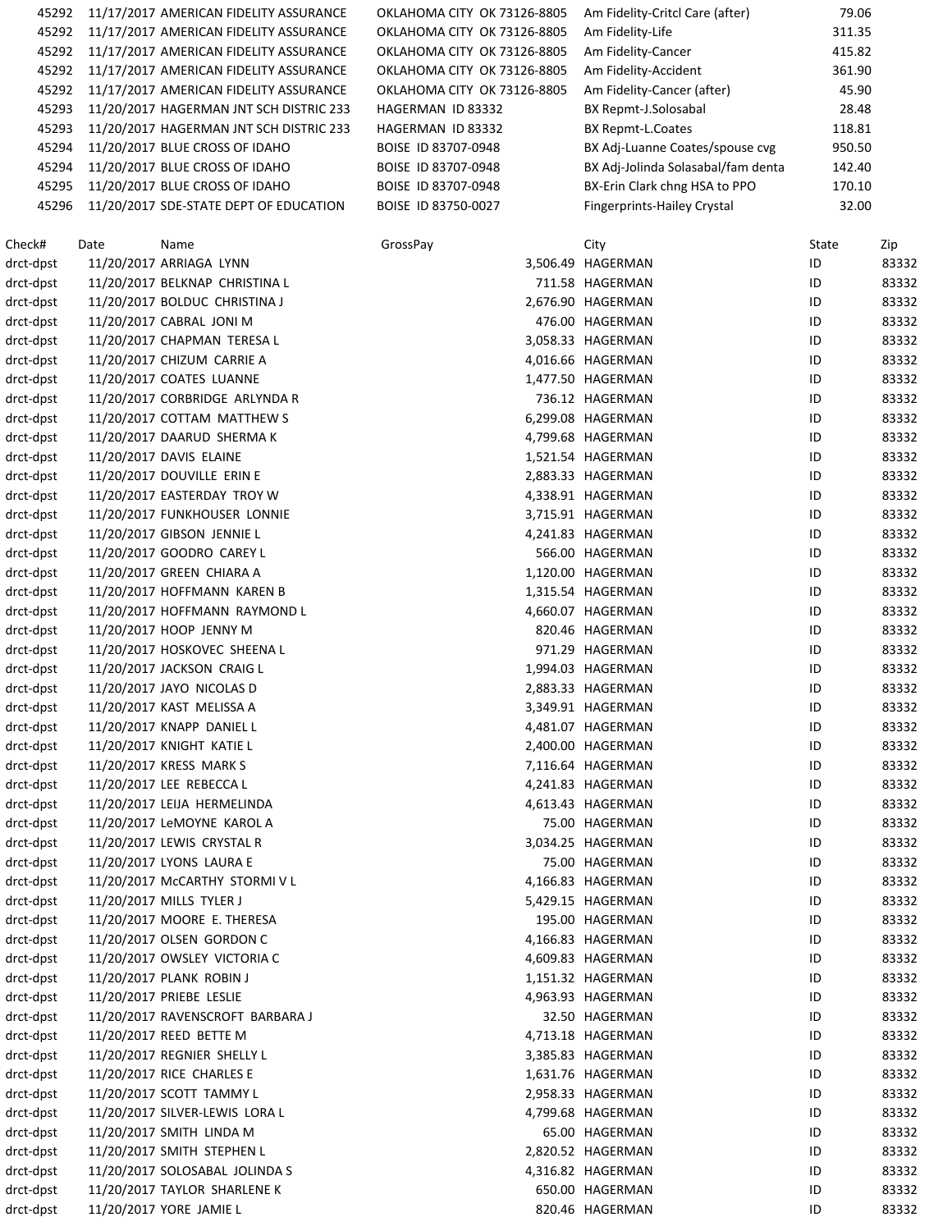| 45292 | 11/17/2017 AMERICAN FIDELITY ASSURANCE  | OKLAHOMA CITY OK 73126-8805 | Am Fidelity-Critcl Care (after)    | 79.06  |  |
|-------|-----------------------------------------|-----------------------------|------------------------------------|--------|--|
| 45292 | 11/17/2017 AMERICAN FIDELITY ASSURANCE  | OKLAHOMA CITY OK 73126-8805 | Am Fidelity-Life                   | 311.35 |  |
| 45292 | 11/17/2017 AMERICAN FIDELITY ASSURANCE  | OKLAHOMA CITY OK 73126-8805 | Am Fidelity-Cancer                 | 415.82 |  |
| 45292 | 11/17/2017 AMERICAN FIDELITY ASSURANCE  | OKLAHOMA CITY OK 73126-8805 | Am Fidelity-Accident               | 361.90 |  |
| 45292 | 11/17/2017 AMERICAN FIDELITY ASSURANCE  | OKLAHOMA CITY OK 73126-8805 | Am Fidelity-Cancer (after)         | 45.90  |  |
| 45293 | 11/20/2017 HAGERMAN JNT SCH DISTRIC 233 | HAGERMAN ID 83332           | BX Repmt-J.Solosabal               | 28.48  |  |
| 45293 | 11/20/2017 HAGERMAN JNT SCH DISTRIC 233 | HAGERMAN ID 83332           | BX Repmt-L.Coates                  | 118.81 |  |
| 45294 | 11/20/2017 BLUE CROSS OF IDAHO          | BOISE ID 83707-0948         | BX Adj-Luanne Coates/spouse cvg    | 950.50 |  |
| 45294 | 11/20/2017 BLUE CROSS OF IDAHO          | BOISE ID 83707-0948         | BX Adj-Jolinda Solasabal/fam denta | 142.40 |  |
| 45295 | 11/20/2017 BLUE CROSS OF IDAHO          | BOISE ID 83707-0948         | BX-Erin Clark chng HSA to PPO      | 170.10 |  |
| 45296 | 11/20/2017 SDE-STATE DEPT OF EDUCATION  | BOISE ID 83750-0027         | <b>Fingerprints-Hailey Crystal</b> | 32.00  |  |
|       |                                         |                             |                                    |        |  |

| Check#                 | Date | Name                                                     | GrossPay | City                                 | State    | Zip   |
|------------------------|------|----------------------------------------------------------|----------|--------------------------------------|----------|-------|
| drct-dpst              |      | 11/20/2017 ARRIAGA LYNN                                  |          | 3,506.49 HAGERMAN                    | ID       | 83332 |
| drct-dpst              |      | 11/20/2017 BELKNAP CHRISTINA L                           |          | 711.58 HAGERMAN                      | ID       | 83332 |
| drct-dpst              |      | 11/20/2017 BOLDUC CHRISTINA J                            |          | 2,676.90 HAGERMAN                    | ID       | 83332 |
| drct-dpst              |      | 11/20/2017 CABRAL JONI M                                 |          | 476.00 HAGERMAN                      | ID       | 83332 |
| drct-dpst              |      | 11/20/2017 CHAPMAN TERESA L                              |          | 3,058.33 HAGERMAN                    | ID       | 83332 |
| drct-dpst              |      | 11/20/2017 CHIZUM CARRIE A                               |          | 4,016.66 HAGERMAN                    | ID       | 83332 |
| drct-dpst              |      | 11/20/2017 COATES LUANNE                                 |          | 1,477.50 HAGERMAN                    | ID       | 83332 |
| drct-dpst              |      | 11/20/2017 CORBRIDGE ARLYNDA R                           |          | 736.12 HAGERMAN                      | ID       | 83332 |
| drct-dpst              |      | 11/20/2017 COTTAM MATTHEW S                              |          | 6,299.08 HAGERMAN                    | ID       | 83332 |
| drct-dpst              |      | 11/20/2017 DAARUD SHERMA K                               |          | 4,799.68 HAGERMAN                    | ID       | 83332 |
| drct-dpst              |      | 11/20/2017 DAVIS ELAINE                                  |          | 1,521.54 HAGERMAN                    | ID       | 83332 |
| drct-dpst              |      | 11/20/2017 DOUVILLE ERIN E                               |          | 2,883.33 HAGERMAN                    | ID       | 83332 |
| drct-dpst              |      | 11/20/2017 EASTERDAY TROY W                              |          | 4,338.91 HAGERMAN                    | ID       | 83332 |
| drct-dpst              |      | 11/20/2017 FUNKHOUSER LONNIE                             |          | 3,715.91 HAGERMAN                    | ID       | 83332 |
| drct-dpst              |      | 11/20/2017 GIBSON JENNIE L                               |          | 4,241.83 HAGERMAN                    | ID       | 83332 |
| drct-dpst              |      | 11/20/2017 GOODRO CAREY L                                |          | 566.00 HAGERMAN                      | ID       | 83332 |
| drct-dpst              |      | 11/20/2017 GREEN CHIARA A                                |          | 1,120.00 HAGERMAN                    | ID       | 83332 |
| drct-dpst              |      | 11/20/2017 HOFFMANN KAREN B                              |          | 1,315.54 HAGERMAN                    | ID       | 83332 |
| drct-dpst              |      | 11/20/2017 HOFFMANN RAYMOND L                            |          | 4,660.07 HAGERMAN                    | ID       | 83332 |
| drct-dpst              |      | 11/20/2017 HOOP JENNY M                                  |          | 820.46 HAGERMAN                      | ID       | 83332 |
| drct-dpst              |      | 11/20/2017 HOSKOVEC SHEENA L                             |          | 971.29 HAGERMAN                      | ID       | 83332 |
| drct-dpst              |      | 11/20/2017 JACKSON CRAIG L                               |          | 1,994.03 HAGERMAN                    | ID       | 83332 |
| drct-dpst              |      | 11/20/2017 JAYO NICOLAS D                                |          | 2,883.33 HAGERMAN                    | ID       | 83332 |
| drct-dpst              |      | 11/20/2017 KAST MELISSA A                                |          | 3,349.91 HAGERMAN                    | ID       | 83332 |
| drct-dpst              |      | 11/20/2017 KNAPP DANIEL L                                |          | 4,481.07 HAGERMAN                    | ID       | 83332 |
| drct-dpst              |      | 11/20/2017 KNIGHT KATIE L                                |          | 2,400.00 HAGERMAN                    | ID       | 83332 |
| drct-dpst              |      | 11/20/2017 KRESS MARK S                                  |          | 7,116.64 HAGERMAN                    | ID       | 83332 |
| drct-dpst              |      | 11/20/2017 LEE REBECCA L                                 |          | 4,241.83 HAGERMAN                    | ID       | 83332 |
| drct-dpst              |      | 11/20/2017 LEIJA HERMELINDA                              |          | 4,613.43 HAGERMAN                    | ID       | 83332 |
| drct-dpst              |      | 11/20/2017 LeMOYNE KAROL A                               |          | 75.00 HAGERMAN                       | ID       | 83332 |
| drct-dpst              |      | 11/20/2017 LEWIS CRYSTAL R                               |          | 3,034.25 HAGERMAN                    | ID       | 83332 |
| drct-dpst              |      | 11/20/2017 LYONS LAURA E                                 |          | 75.00 HAGERMAN                       | ID       | 83332 |
|                        |      |                                                          |          |                                      |          | 83332 |
| drct-dpst              |      | 11/20/2017 McCARTHY STORMIVL                             |          | 4,166.83 HAGERMAN                    | ID       | 83332 |
| drct-dpst<br>drct-dpst |      | 11/20/2017 MILLS TYLER J<br>11/20/2017 MOORE E. THERESA  |          | 5,429.15 HAGERMAN<br>195.00 HAGERMAN | ID<br>ID | 83332 |
| drct-dpst              |      | 11/20/2017 OLSEN GORDON C                                |          | 4,166.83 HAGERMAN                    | ID       | 83332 |
|                        |      |                                                          |          |                                      |          |       |
| drct-dpst              |      | 11/20/2017 OWSLEY VICTORIA C<br>11/20/2017 PLANK ROBIN J |          | 4,609.83 HAGERMAN                    | ID       | 83332 |
| drct-dpst              |      |                                                          |          | 1,151.32 HAGERMAN                    | ID       | 83332 |
| drct-dpst              |      | 11/20/2017 PRIEBE LESLIE                                 |          | 4,963.93 HAGERMAN                    | ID       | 83332 |
| drct-dpst              |      | 11/20/2017 RAVENSCROFT BARBARA J                         |          | 32.50 HAGERMAN                       | ID       | 83332 |
| drct-dpst              |      | 11/20/2017 REED BETTE M                                  |          | 4,713.18 HAGERMAN                    | ID       | 83332 |
| drct-dpst              |      | 11/20/2017 REGNIER SHELLY L                              |          | 3,385.83 HAGERMAN                    | ID       | 83332 |
| drct-dpst              |      | 11/20/2017 RICE CHARLES E                                |          | 1,631.76 HAGERMAN                    | ID       | 83332 |
| drct-dpst              |      | 11/20/2017 SCOTT TAMMY L                                 |          | 2,958.33 HAGERMAN                    | ID       | 83332 |
| drct-dpst              |      | 11/20/2017 SILVER-LEWIS LORA L                           |          | 4,799.68 HAGERMAN                    | ID       | 83332 |
| drct-dpst              |      | 11/20/2017 SMITH LINDA M                                 |          | 65.00 HAGERMAN                       | ID       | 83332 |
| drct-dpst              |      | 11/20/2017 SMITH STEPHEN L                               |          | 2,820.52 HAGERMAN                    | ID       | 83332 |
| drct-dpst              |      | 11/20/2017 SOLOSABAL JOLINDA S                           |          | 4,316.82 HAGERMAN                    | ID       | 83332 |
| drct-dpst              |      | 11/20/2017 TAYLOR SHARLENE K                             |          | 650.00 HAGERMAN                      | ID       | 83332 |
| drct-dpst              |      | 11/20/2017 YORE JAMIE L                                  |          | 820.46 HAGERMAN                      | ID       | 83332 |